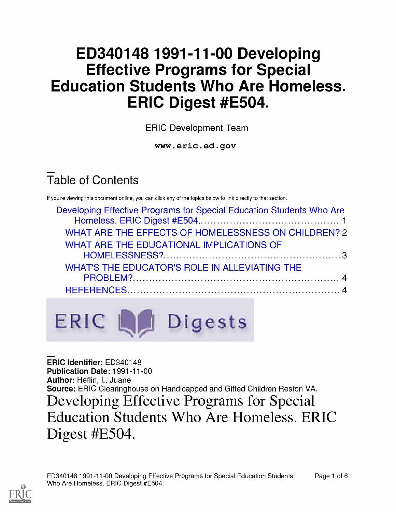# ED340148 1991-11-00 Developing Effective Programs for Special Education Students Who Are Homeless. ERIC Digest #E504.

ERIC Development Team

www.eric.ed.gov

# Table of Contents

If you're viewing this document online, you can click any of the topics below to link directly to that section.

| Developing Effective Programs for Special Education Students Who Are |  |
|----------------------------------------------------------------------|--|
| WHAT ARE THE EFFECTS OF HOMELESSNESS ON CHILDREN? 2                  |  |
| WHAT ARE THE EDUCATIONAL IMPLICATIONS OF                             |  |
|                                                                      |  |
| WHAT'S THE EDUCATOR'S ROLE IN ALLEVIATING THE                        |  |
|                                                                      |  |
|                                                                      |  |



ERIC Identifier: ED340148 Publication Date: 1991-11-00 Author: Heflin, L. Juane Source: ERIC Clearinghouse on Handicapped and Gifted Children Reston VA. Developing Effective Programs for Special Education Students Who Are Homeless. ERIC Digest #E504.

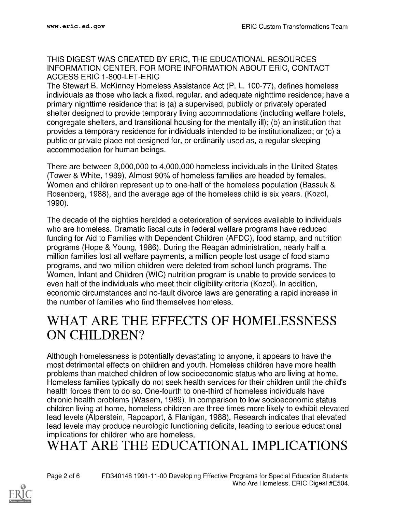#### THIS DIGEST WAS CREATED BY ERIC, THE EDUCATIONAL RESOURCES INFORMATION CENTER. FOR MORE INFORMATION ABOUT ERIC, CONTACT ACCESS ERIC 1-800-LET-ERIC

The Stewart B. McKinney Homeless Assistance Act (P. L. 100-77), defines homeless individuals as those who lack a fixed, regular, and adequate nighttime residence; have a primary nighttime residence that is (a) a supervised, publicly or privately operated shelter designed to provide temporary living accommodations (including welfare hotels, congregate shelters, and transitional housing for the mentally ill); (b) an institution that provides a temporary residence for individuals intended to be institutionalized; or (c) a public or private place not designed for, or ordinarily used as, a regular sleeping accommodation for human beings.

There are between 3,000,000 to 4,000,000 homeless individuals in the United States (Tower & White, 1989). Almost 90% of homeless families are headed by females. Women and children represent up to one-half of the homeless population (Bassuk & Rosenberg, 1988), and the average age of the homeless child is six years. (Kozol, 1990).

The decade of the eighties heralded a deterioration of services available to individuals who are homeless. Dramatic fiscal cuts in federal welfare programs have reduced funding for Aid to Families with Dependent Children (AFDC), food stamp, and nutrition programs (Hope & Young, 1986). During the Reagan administration, nearly half a million families lost all welfare payments, a million people lost usage of food stamp programs, and two million children were deleted from school lunch programs. The Women, Infant and Children (WIC) nutrition program is unable to provide services to even half of the individuals who meet their eligibility criteria (Kozol). In addition, economic circumstances and no-fault divorce laws are generating a rapid increase in the number of families who find themselves homeless.

#### WHAT ARE THE EFFECTS OF HOMELESSNESS ON CHILDREN?

Although homelessness is potentially devastating to anyone, it appears to have the most detrimental effects on children and youth. Homeless children have more health problems than matched children of low socioeconomic status who are living at home. Homeless families typically do not seek health services for their children until the child's health forces them to do so. One-fourth to one-third of homeless individuals have chronic health problems (Wasem, 1989). In comparison to low socioeconomic status children living at home, homeless children are three times more likely to exhibit elevated lead levels (Alperstein, Rappaport, & Flanigan, 1988). Research indicates that elevated lead levels may produce neurologic functioning deficits, leading to serious educational implications for children who are homeless.

### WHAT ARE THE EDUCATIONAL IMPLICATIONS

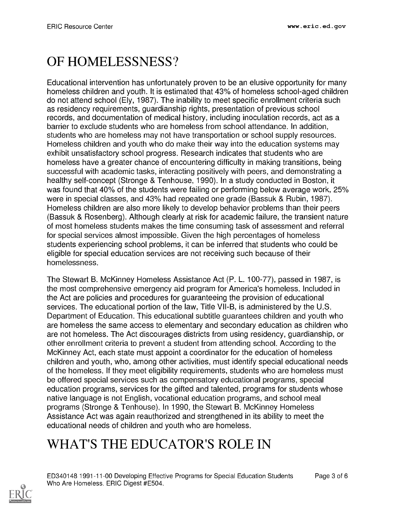# OF HOMELESSNESS?

Educational intervention has unfortunately proven to be an elusive opportunity for many homeless children and youth. It is estimated that 43% of homeless school-aged children do not attend school (Ely, 1987). The inability to meet specific enrollment criteria such as residency requirements, guardianship rights, presentation of previous school records, and documentation of medical history, including inoculation records, act as a barrier to exclude students who are homeless from school attendance. In addition, students who are homeless may not have transportation or school supply resources. Homeless children and youth who do make their way into the education systems may exhibit unsatisfactory school progress. Research indicates that students who are homeless have a greater chance of encountering difficulty in making transitions, being successful with academic tasks, interacting positively with peers, and demonstrating a healthy self-concept (Stronge & Tenhouse, 1990). In a study conducted in Boston, it was found that 40% of the students were failing or performing below average work, 25% were in special classes, and 43% had repeated one grade (Bassuk & Rubin, 1987). Homeless children are also more likely to develop behavior problems than their peers (Bassuk & Rosenberg). Although clearly at risk for academic failure, the transient nature of most homeless students makes the time consuming task of assessment and referral for special services almost impossible. Given the high percentages of homeless students experiencing school problems, it can be inferred that students who could be eligible for special education services are not receiving such because of their homelessness.

The Stewart B. McKinney Homeless Assistance Act (P. L. 100-77), passed in 1987, is the most comprehensive emergency aid program for America's homeless. Included in the Act are policies and procedures for guaranteeing the provision of educational services. The educational portion of the law, Title VII-B, is administered by the U.S. Department of Education. This educational subtitle guarantees children and youth who are homeless the same access to elementary and secondary education as children who are not homeless. The Act discourages districts from using residency, guardianship, or other enrollment criteria to prevent a student from attending school. According to the McKinney Act, each state must appoint a coordinator for the education of homeless children and youth, who, among other activities, must identify special educational needs of the homeless. If they meet eligibility requirements, students who are homeless must be offered special services such as compensatory educational programs, special education programs, services for the gifted and talented, programs for students whose native language is not English, vocational education programs, and school meal programs (Stronge & Tenhouse). In 1990, the Stewart B. McKinney Homeless Assistance Act was again reauthorized and strengthened in its ability to meet the educational needs of children and youth who are homeless.

# WHAT'S THE EDUCATOR'S ROLE IN

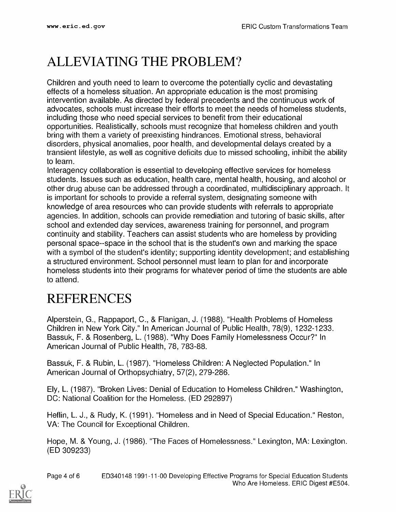## ALLEVIATING THE PROBLEM?

Children and youth need to learn to overcome the potentially cyclic and devastating effects of a homeless situation. An appropriate education is the most promising intervention available. As directed by federal precedents and the continuous work of advocates, schools must increase their efforts to meet the needs of homeless students, including those who need special services to benefit from their educational opportunities. Realistically, schools must recognize that homeless children and youth bring with them a variety of preexisting hindrances. Emotional stress, behavioral disorders, physical anomalies, poor health, and developmental delays created by a transient lifestyle, as well as cognitive deficits due to missed schooling, inhibit the ability to learn.

Interagency collaboration is essential to developing effective services for homeless students. Issues such as education, health care, mental health, housing, and alcohol or other drug abuse can be addressed through a coordinated, multidisciplinary approach. It is important for schools to provide a referral system, designating someone with knowledge of area resources who can provide students with referrals to appropriate agencies. In addition, schools can provide remediation and tutoring of basic skills, after school and extended day services, awareness training for personnel, and program continuity and stability. Teachers can assist students who are homeless by providing personal space--space in the school that is the student's own and marking the space with a symbol of the student's identity; supporting identity development; and establishing a structured environment. School personnel must learn to plan for and incorporate homeless students into their programs for whatever period of time the students are able to attend.

### REFERENCES

Alperstein, G., Rappaport, C., & Flanigan, J. (1988). "Health Problems of Homeless Children in New York City." In American Journal of Public Health, 78(9), 1232-1233. Bassuk, F. & Rosenberg, L. (1988). "Why Does Family Homelessness Occur?" In American Journal of Public Health, 78, 783-88.

Bassuk, F. & Rubin, L. (1987). "Homeless Children: A Neglected Population." In American Journal of Orthopsychiatry, 57(2), 279-286.

Ely, L. (1987). "Broken Lives: Denial of Education to Homeless Children." Washington, DC: National Coalition for the Homeless. (ED 292897)

Heflin, L. J., & Rudy, K. (1991). "Homeless and in Need of Special Education." Reston, VA: The Council for Exceptional Children.

Hope, M. & Young, J. (1986). "The Faces of Homelessness." Lexington, MA: Lexington. (ED 309233)

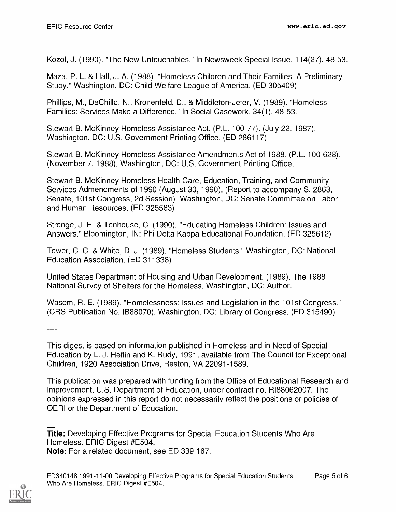Kozol, J. (1990). "The New Untouchables." In Newsweek Special Issue, 114(27), 48-53.

Maza, P. L. & Hall, J. A. (1988). "Homeless Children and Their Families. A Preliminary Study." Washington, DC: Child Welfare League of America. (ED 305409)

Phillips, M., DeChillo, N., Kronenfeld, D., & Middleton-Jeter, V. (1989). "Homeless Families: Services Make a Difference." In Social Casework, 34(1), 48-53.

Stewart B. McKinney Homeless Assistance Act, (P.L. 100-77). (July 22, 1987). Washington, DC: U.S. Government Printing Office. (ED 286117)

Stewart B. McKinney Homeless Assistance Amendments Act of 1988, (P.L. 100-628). (November 7, 1988). Washington, DC: U.S. Government Printing Office.

Stewart B. McKinney Homeless Health Care, Education, Training, and Community Services Admendments of 1990 (August 30, 1990). (Report to accompany S. 2863, Senate, 101st Congress, 2d Session). Washington, DC: Senate Committee on Labor and Human Resources. (ED 325563)

Stronge, J. H. & Tenhouse, C. (1990). "Educating Homeless Children: Issues and Answers." Bloomington, IN: Phi Delta Kappa Educational Foundation. (ED 325612)

Tower, C. C. & White, D. J. (1989). "Homeless Students." Washington, DC: National Education Association. (ED 311338)

United States Department of Housing and Urban Development. (1989). The 1988 National Survey of Shelters for the Homeless. Washington, DC: Author.

Wasem, R. E. (1989). "Homelessness: Issues and Legislation in the 101st Congress." (CRS Publication No. IB88070). Washington, DC: Library of Congress. (ED 315490)

 $\frac{1}{2}$ 

This digest is based on information published in Homeless and in Need of Special Education by L. J. Heflin and K. Rudy, 1991, available from The Council for Exceptional Children, 1920 Association Drive, Reston, VA 22091-1589.

This publication was prepared with funding from the Office of Educational Research and Improvement, U.S. Department of Education, under contract no. RI88062007. The opinions expressed in this report do not necessarily reflect the positions or policies of OERI or the Department of Education.

Title: Developing Effective Programs for Special Education Students Who Are Homeless. ERIC Digest #E504. Note: For a related document, see ED 339 167.